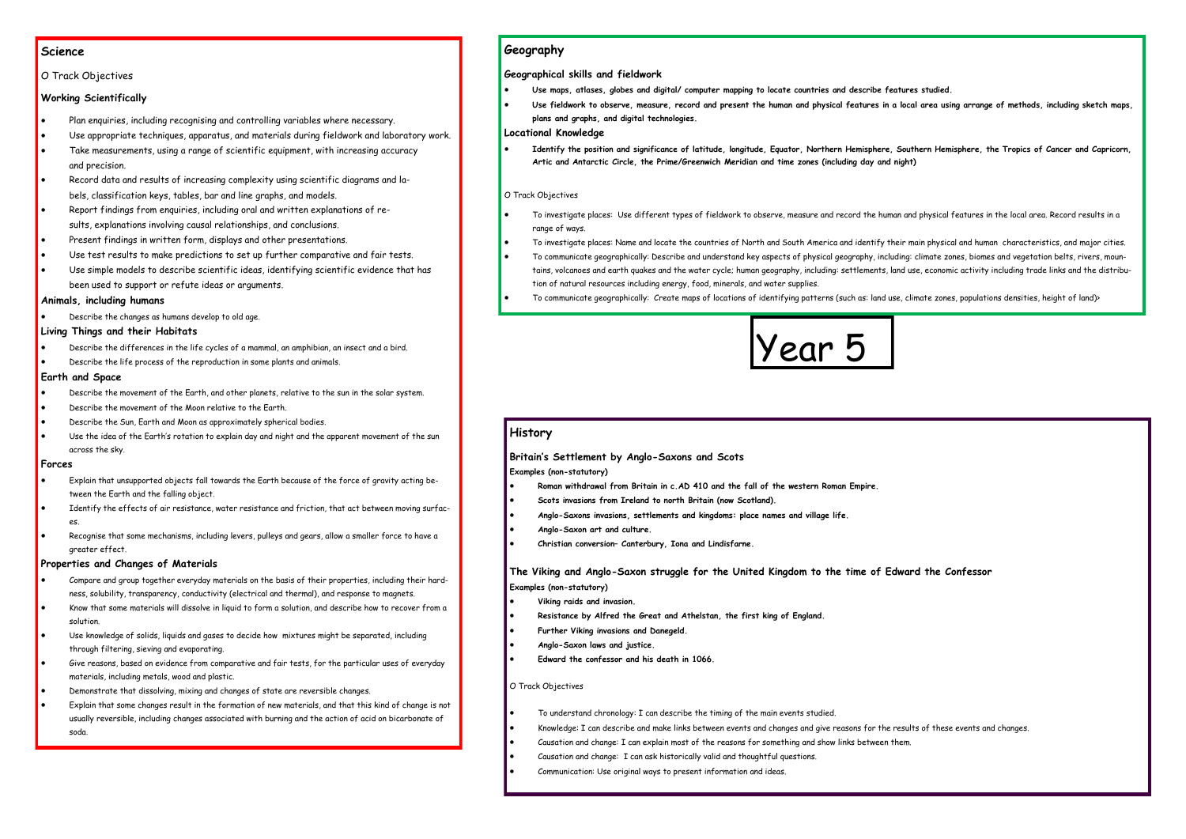## **Science**

### O Track Objectives

## **Working Scientifically**

- Plan enquiries, including recognising and controlling variables where necessary.
- Use appropriate techniques, apparatus, and materials during fieldwork and laboratory work.
- Take measurements, using a range of scientific equipment, with increasing accuracy and precision.
- Record data and results of increasing complexity using scientific diagrams and labels, classification keys, tables, bar and line graphs, and models.
- Report findings from enquiries, including oral and written explanations of results, explanations involving causal relationships, and conclusions.
- Present findings in written form, displays and other presentations.
- Use test results to make predictions to set up further comparative and fair tests.
- Use simple models to describe scientific ideas, identifying scientific evidence that has been used to support or refute ideas or arguments.

#### **Animals, including humans**

Describe the changes as humans develop to old age.

#### **Living Things and their Habitats**

- Describe the differences in the life cycles of a mammal, an amphibian, an insect and a bird.
- Describe the life process of the reproduction in some plants and animals.

#### **Earth and Space**

- Describe the movement of the Earth, and other planets, relative to the sun in the solar system.
- Describe the movement of the Moon relative to the Earth.
- Describe the Sun, Earth and Moon as approximately spherical bodies.
- Use the idea of the Earth's rotation to explain day and night and the apparent movement of the sun across the sky.

#### **Forces**

- Explain that unsupported objects fall towards the Earth because of the force of gravity acting between the Earth and the falling object.
- Identify the effects of air resistance, water resistance and friction, that act between moving surfaces.
- Recognise that some mechanisms, including levers, pulleys and gears, allow a smaller force to have a greater effect.

### **Properties and Changes of Materials**

- Compare and group together everyday materials on the basis of their properties, including their hardness, solubility, transparency, conductivity (electrical and thermal), and response to magnets.
- Know that some materials will dissolve in liquid to form a solution, and describe how to recover from a solution.
- Use knowledge of solids, liquids and gases to decide how mixtures might be separated, including through filtering, sieving and evaporating.
- Give reasons, based on evidence from comparative and fair tests, for the particular uses of everyday materials, including metals, wood and plastic.
- Demonstrate that dissolving, mixing and changes of state are reversible changes.
- Explain that some changes result in the formation of new materials, and that this kind of change is not usually reversible, including changes associated with burning and the action of acid on bicarbonate of soda.



## **Geography**

#### **Geographical skills and fieldwork**

- **Use maps, atlases, globes and digital/ computer mapping to locate countries and describe features studied.**
- **Use fieldwork to observe, measure, record and present the human and physical features in a local area using arrange of methods, including sketch maps, plans and graphs, and digital technologies.**

#### **Locational Knowledge**

 **Identify the position and significance of latitude, longitude, Equator, Northern Hemisphere, Southern Hemisphere, the Tropics of Cancer and Capricorn, Artic and Antarctic Circle, the Prime/Greenwich Meridian and time zones (including day and night)**

#### O Track Objectives

- To investigate places: Use different types of fieldwork to observe, measure and record the human and physical features in the local area. Record results in a range of ways.
- To investigate places: Name and locate the countries of North and South America and identify their main physical and human characteristics, and major cities.
- To communicate geographically: Describe and understand key aspects of physical geography, including: climate zones, biomes and vegetation belts, rivers, mountains, volcanoes and earth quakes and the water cycle; human geography, including: settlements, land use, economic activity including trade links and the distribution of natural resources including energy, food, minerals, and water supplies.
- To communicate geographically: Create maps of locations of identifying patterns (such as: land use, climate zones, populations densities, height of land)>

## **History**

### **Britain's Settlement by Anglo-Saxons and Scots**

**Examples (non-statutory)**

- **Roman withdrawal from Britain in c.AD 410 and the fall of the western Roman Empire.**
- **Scots invasions from Ireland to north Britain (now Scotland).**
- **Anglo-Saxons invasions, settlements and kingdoms: place names and village life.**
- **Anglo-Saxon art and culture.**
- **Christian conversion– Canterbury, Iona and Lindisfarne.**

## **The Viking and Anglo-Saxon struggle for the United Kingdom to the time of Edward the Confessor Examples (non-statutory)**

- **Viking raids and invasion.**
- **Resistance by Alfred the Great and Athelstan, the first king of England.**
- **Further Viking invasions and Danegeld.**
- **Anglo-Saxon laws and justice.**
- **Edward the confessor and his death in 1066.**

### O Track Objectives

- To understand chronology: I can describe the timing of the main events studied.
- Knowledge: I can describe and make links between events and changes and give reasons for the results of these events and changes.
- Causation and change: I can explain most of the reasons for something and show links between them.
- Causation and change: I can ask historically valid and thoughtful questions.
- Communication: Use original ways to present information and ideas.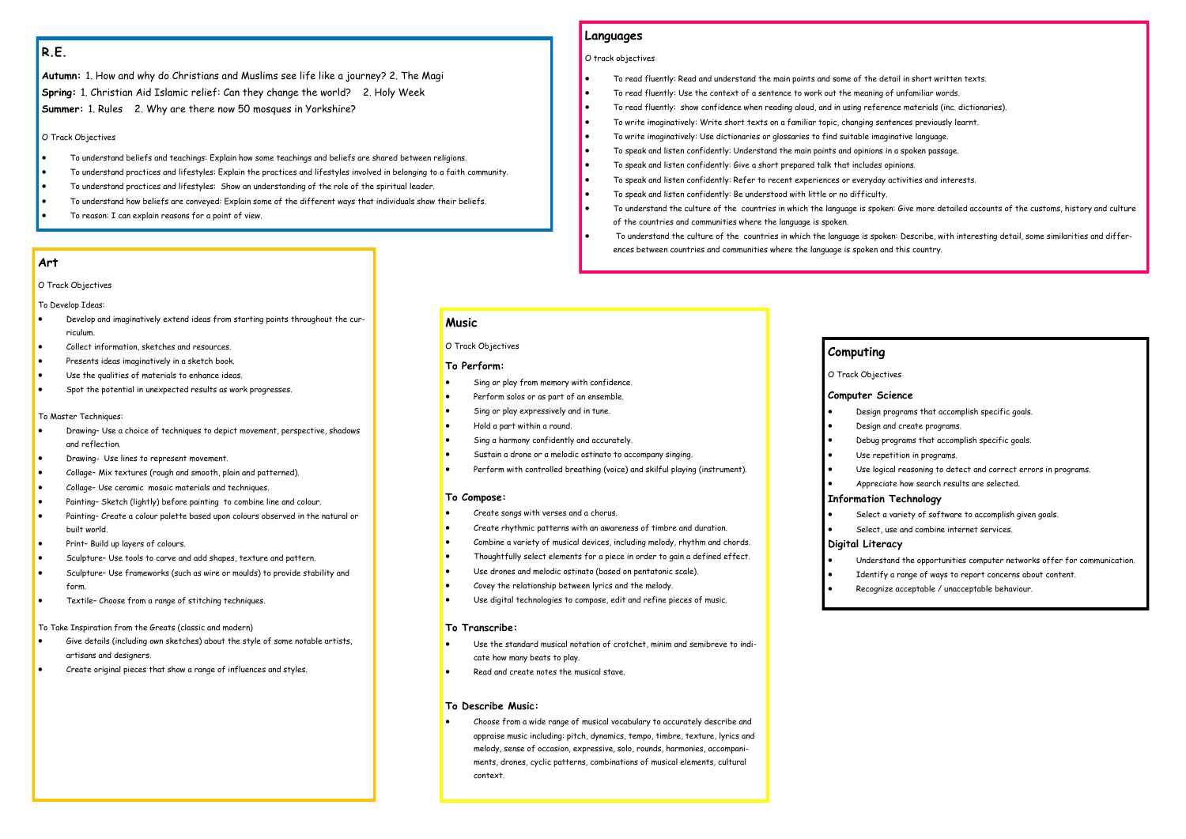# **R.E.**

**Autumn:** 1. How and why do Christians and Muslims see life like a journey? 2. The Magi **Spring:** 1. Christian Aid Islamic relief: Can they change the world? 2. Holy Week **Summer:** 1. Rules 2. Why are there now 50 mosques in Yorkshire?

#### O Track Objectives

- To understand beliefs and teachings: Explain how some teachings and beliefs are shared between religions.
- To understand practices and lifestyles: Explain the practices and lifestyles involved in belonging to a faith community.
- To understand practices and lifestyles: Show an understanding of the role of the spiritual leader.
- To understand how beliefs are conveyed: Explain some of the different ways that individuals show their beliefs.
- To reason: I can explain reasons for a point of view.

## **Languages**

#### O track objectives

- To read fluently: Read and understand the main points and some of the detail in short written texts.
- To read fluently: Use the context of a sentence to work out the meaning of unfamiliar words.
- To read fluently: show confidence when reading aloud, and in using reference materials (inc. dictionaries).
- To write imaginatively: Write short texts on a familiar topic, changing sentences previously learnt.
- To write imaginatively: Use dictionaries or glossaries to find suitable imaginative language.
- To speak and listen confidently: Understand the main points and opinions in a spoken passage.
- To speak and listen confidently: Give a short prepared talk that includes opinions.
- To speak and listen confidently: Refer to recent experiences or everyday activities and interests.
- To speak and listen confidently: Be understood with little or no difficulty.
- To understand the culture of the countries in which the language is spoken: Give more detailed accounts of the customs, history and culture of the countries and communities where the language is spoken.
- To understand the culture of the countries in which the language is spoken: Describe, with interesting detail, some similarities and differences between countries and communities where the language is spoken and this country.

## **Computing**

### O Track Objectives

#### **Computer Science**

- 
- 
- 
- 
- 
- 

- Design programs that accomplish specific goals.
- Design and create programs.
- Debug programs that accomplish specific goals.
- Use repetition in programs.
- Use logical reasoning to detect and correct errors in programs.
- Appreciate how search results are selected.

## **Information Technology**

- Select a variety of software to accomplish given goals.
- Select, use and combine internet services.

- 
- 
- **Digital Literacy**
- 
- 
- 

- Understand the opportunities computer networks offer for communication.
- Identify a range of ways to report concerns about content.
- Recognize acceptable / unacceptable behaviour.

# **Music**

O Track Objectives

#### **To Perform:**

- Sing or play from memory with confidence.
- Perform solos or as part of an ensemble.
- Sing or play expressively and in tune.
- Hold a part within a round.
- Sing a harmony confidently and accurately.
- Sustain a drone or a melodic ostinato to accompany singing.
- Perform with controlled breathing (voice) and skilful playing (instrument).

#### **To Compose:**

- Create songs with verses and a chorus.
- Create rhythmic patterns with an awareness of timbre and duration.
- Combine a variety of musical devices, including melody, rhythm and chords.
- Thoughtfully select elements for a piece in order to gain a defined effect.
- Use drones and melodic ostinato (based on pentatonic scale).
- Covey the relationship between lyrics and the melody.
- Use digital technologies to compose, edit and refine pieces of music.

#### **To Transcribe:**

- Use the standard musical notation of crotchet, minim and semibreve to indicate how many beats to play.
- Read and create notes the musical stave.

### **To Describe Music:**

 Choose from a wide range of musical vocabulary to accurately describe and appraise music including: pitch, dynamics, tempo, timbre, texture, lyrics and melody, sense of occasion, expressive, solo, rounds, harmonies, accompaniments, drones, cyclic patterns, combinations of musical elements, cultural context.

## **Art**

#### O Track Objectives

#### To Develop Ideas:

- Develop and imaginatively extend ideas from starting points throughout the curriculum.
- Collect information, sketches and resources.
- Presents ideas imaginatively in a sketch book.
- Use the qualities of materials to enhance ideas.
- Spot the potential in unexpected results as work progresses.

#### To Master Techniques:

- Drawing– Use a choice of techniques to depict movement, perspective, shadows and reflection.
- Drawing- Use lines to represent movement.
- Collage– Mix textures (rough and smooth, plain and patterned).
- Collage– Use ceramic mosaic materials and techniques.
- Painting– Sketch (lightly) before painting to combine line and colour.
- Painting– Create a colour palette based upon colours observed in the natural or built world.
- Print– Build up layers of colours.
- Sculpture– Use tools to carve and add shapes, texture and pattern.
- Sculpture– Use frameworks (such as wire or moulds) to provide stability and form.
- Textile– Choose from a range of stitching techniques.

To Take Inspiration from the Greats (classic and modern)

- Give details (including own sketches) about the style of some notable artists, artisans and designers.
- Create original pieces that show a range of influences and styles.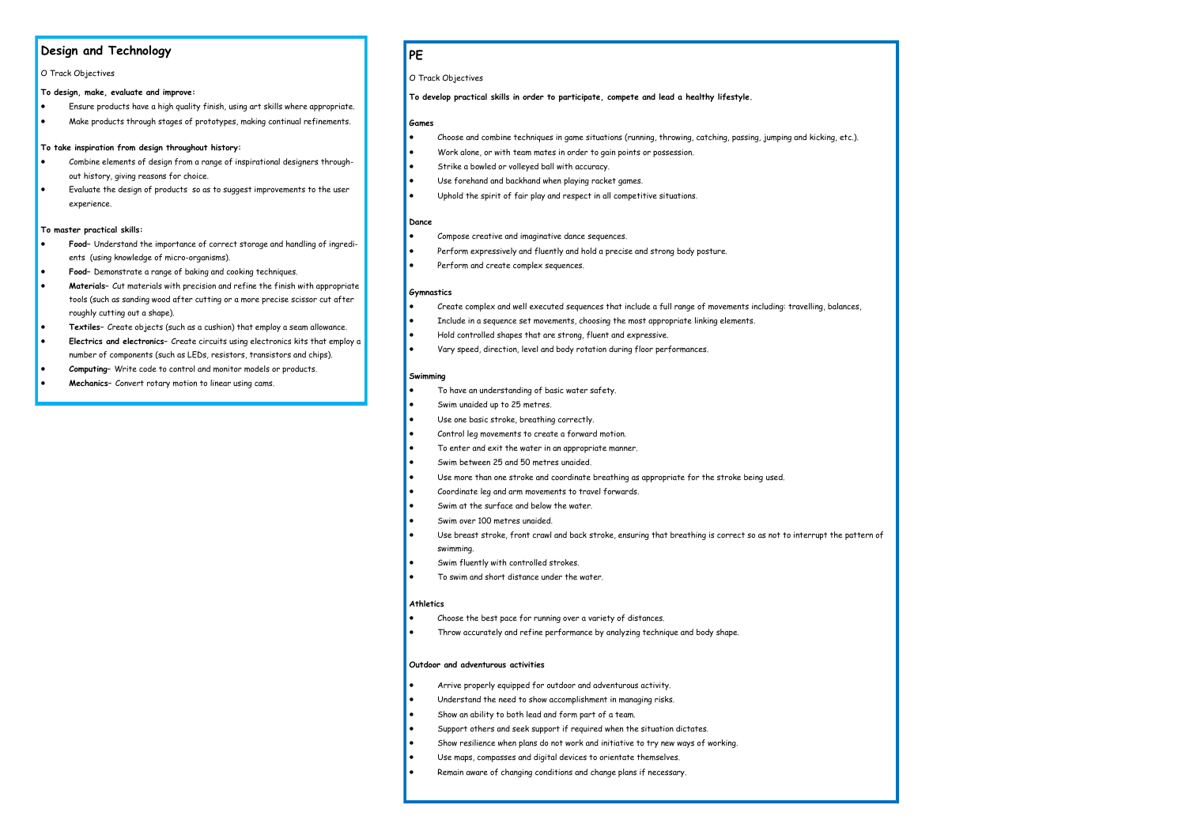# **Design and Technology**

#### O Track Objectives

**To design, make, evaluate and improve:**

- Ensure products have a high quality finish, using art skills where appropriate.
- Make products through stages of prototypes, making continual refinements.

#### **To take inspiration from design throughout history:**

- Combine elements of design from a range of inspirational designers throughout history, giving reasons for choice.
- Evaluate the design of products so as to suggest improvements to the user experience.

#### **To master practical skills:**

- **Food** Understand the importance of correct storage and handling of ingredients (using knowledge of micro-organisms).
- **Food–** Demonstrate a range of baking and cooking techniques.
- **Materials–** Cut materials with precision and refine the finish with appropriate tools (such as sanding wood after cutting or a more precise scissor cut after roughly cutting out a shape).
- **Textiles–** Create objects (such as a cushion) that employ a seam allowance.
- **Electrics and electronics–** Create circuits using electronics kits that employ a number of components (such as LEDs, resistors, transistors and chips).
- **Computing–** Write code to control and monitor models or products.
- **Mechanics–** Convert rotary motion to linear using cams.

# **PE**

#### O Track Objectives

**To develop practical skills in order to participate, compete and lead a healthy lifestyle.**

#### **Games**

- Choose and combine techniques in game situations (running, throwing, catching, passing, jumping and kicking, etc.).
- Work alone, or with team mates in order to gain points or possession.
- Strike a bowled or volleyed ball with accuracy.
- Use forehand and backhand when playing racket games.
- Uphold the spirit of fair play and respect in all competitive situations.

#### **Dance**

- Compose creative and imaginative dance sequences.
- Perform expressively and fluently and hold a precise and strong body posture.
- Perform and create complex sequences.

#### **Gymnastics**

- Create complex and well executed sequences that include a full range of movements including: travelling, balances,
- Include in a sequence set movements, choosing the most appropriate linking elements.
- Hold controlled shapes that are strong, fluent and expressive.
- Vary speed, direction, level and body rotation during floor performances.

#### **Swimming**

- To have an understanding of basic water safety.
- Swim unaided up to 25 metres.
- Use one basic stroke, breathing correctly.
- Control leg movements to create a forward motion.
- To enter and exit the water in an appropriate manner.
- Swim between 25 and 50 metres unaided.
- Use more than one stroke and coordinate breathing as appropriate for the stroke being used.
- Coordinate leg and arm movements to travel forwards.
- Swim at the surface and below the water.
- Swim over 100 metres unaided.
- Use breast stroke, front crawl and back stroke, ensuring that breathing is correct so as not to interrupt the pattern of swimming.
- Swim fluently with controlled strokes.
- To swim and short distance under the water.

#### **Athletics**

- Choose the best pace for running over a variety of distances.
- Throw accurately and refine performance by analyzing technique and body shape.

#### **Outdoor and adventurous activities**

- Arrive properly equipped for outdoor and adventurous activity.
- Understand the need to show accomplishment in managing risks.
- Show an ability to both lead and form part of a team.
- Support others and seek support if required when the situation dictates.
- Show resilience when plans do not work and initiative to try new ways of working.
- Use maps, compasses and digital devices to orientate themselves.
- Remain aware of changing conditions and change plans if necessary.